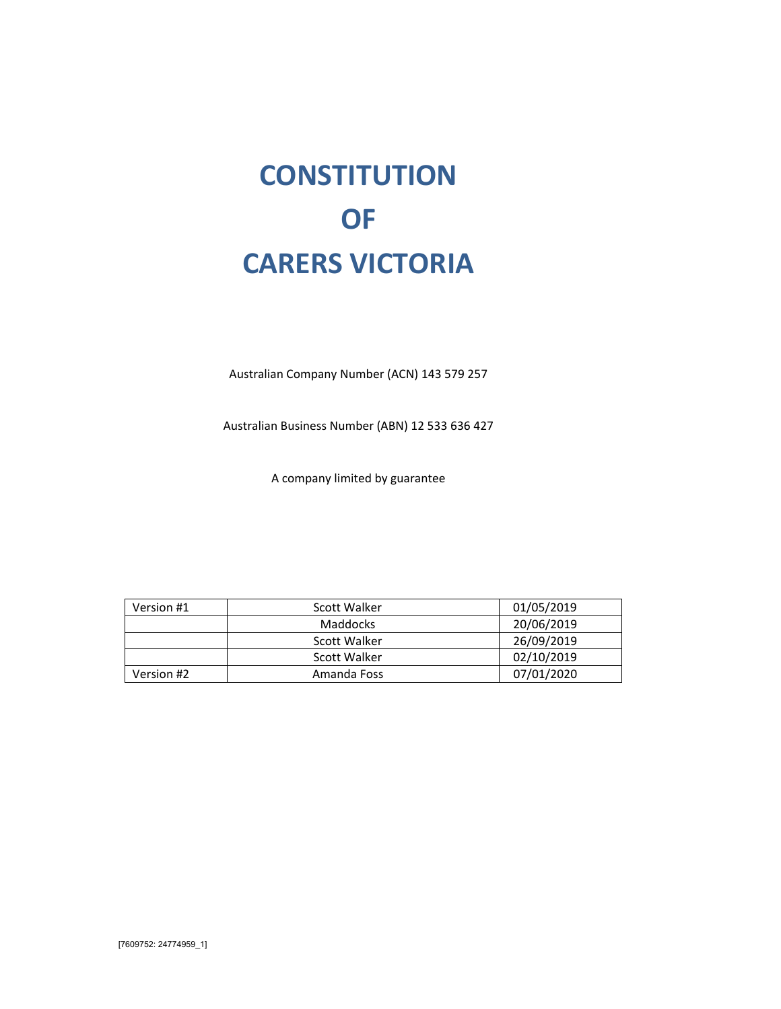# **CONSTITUTION OF CARERS VICTORIA**

Australian Company Number (ACN) 143 579 257

Australian Business Number (ABN) 12 533 636 427

A company limited by guarantee

| Version #1 | Scott Walker | 01/05/2019 |
|------------|--------------|------------|
|            | Maddocks     | 20/06/2019 |
|            | Scott Walker | 26/09/2019 |
|            | Scott Walker | 02/10/2019 |
| Version #2 | Amanda Foss  | 07/01/2020 |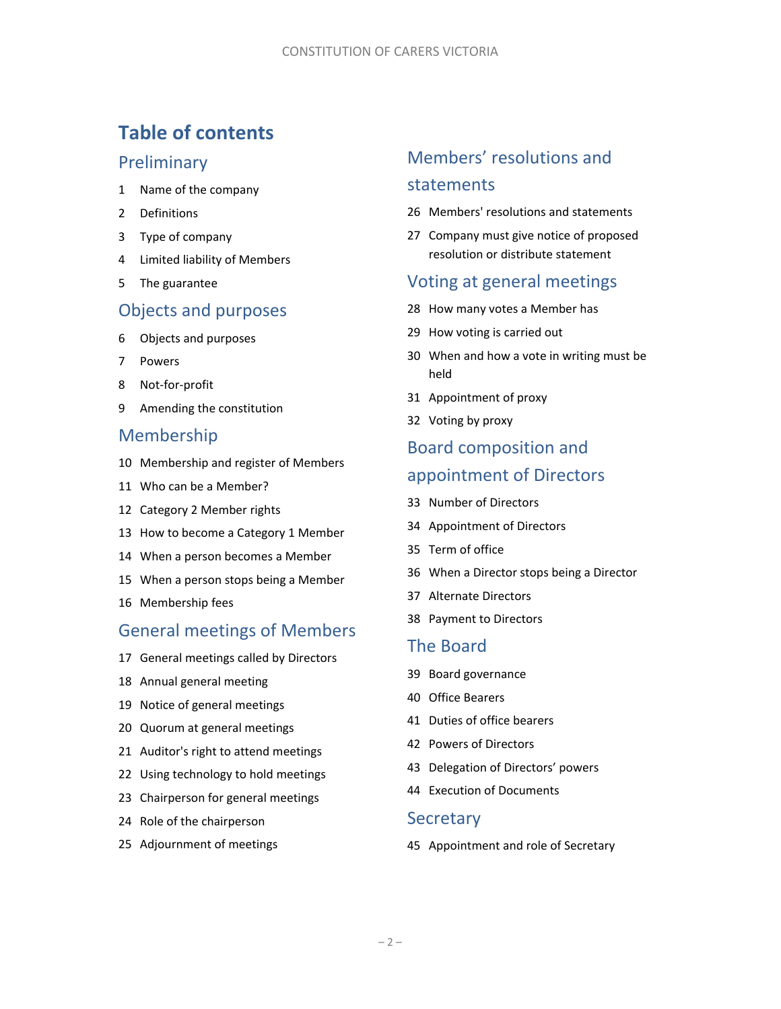# **Table of contents**

# **Preliminary**

- Name of the company
- Definitions
- Type of company
- Limited liability of Members
- The guarantee

# Objects and purposes

- Objects and purposes
- Powers
- Not‐for‐profit
- Amending the constitution

# Membership

- Membership and register of Members
- Who can be a Member?
- Category 2 Member rights
- How to become a Category 1 Member
- When a person becomes a Member
- When a person stops being a Member
- Membership fees

# General meetings of Members

- General meetings called by Directors
- Annual general meeting
- Notice of general meetings
- Quorum at general meetings
- Auditor's right to attend meetings
- Using technology to hold meetings
- Chairperson for general meetings
- Role of the chairperson
- Adjournment of meetings

# Members' resolutions and statements

- Members' resolutions and statements
- Company must give notice of proposed resolution or distribute statement

# Voting at general meetings

- How many votes a Member has
- How voting is carried out
- When and how a vote in writing must be held
- Appointment of proxy
- Voting by proxy

# Board composition and appointment of Directors

- Number of Directors
- Appointment of Directors
- Term of office
- When a Director stops being a Director
- Alternate Directors
- Payment to Directors

# The Board

- Board governance
- Office Bearers
- Duties of office bearers
- Powers of Directors
- Delegation of Directors' powers
- Execution of Documents

# **Secretary**

Appointment and role of Secretary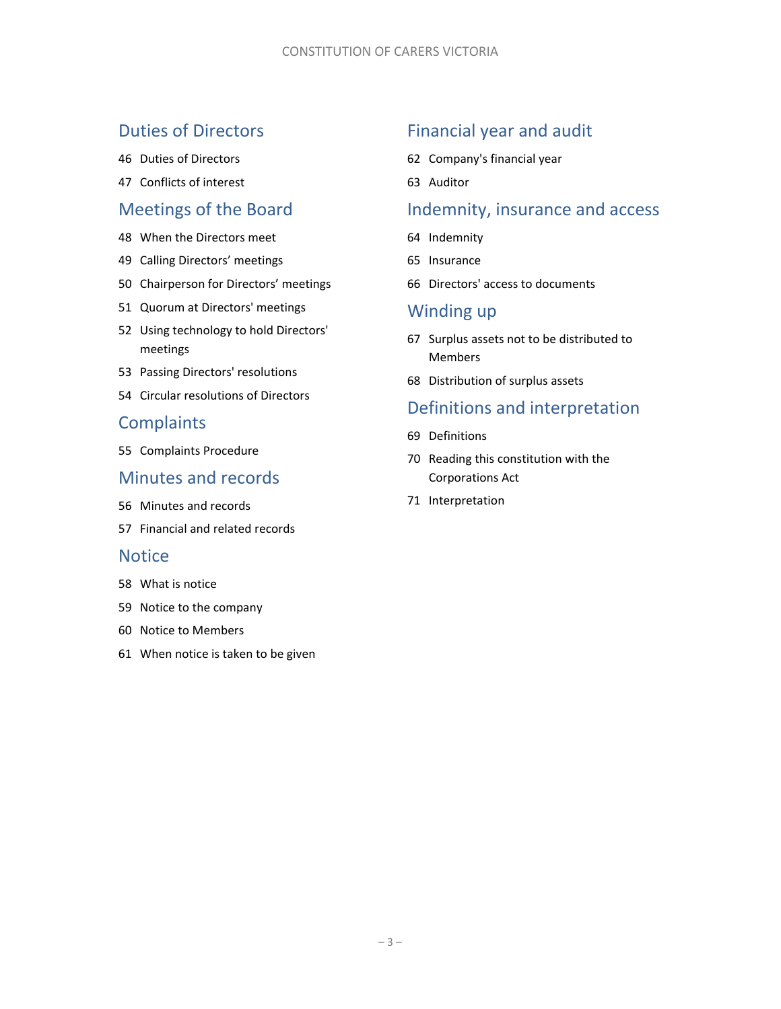# Duties of Directors

- Duties of Directors
- Conflicts of interest

# Meetings of the Board

- When the Directors meet
- Calling Directors' meetings
- Chairperson for Directors' meetings
- Quorum at Directors' meetings
- Using technology to hold Directors' meetings
- Passing Directors' resolutions
- Circular resolutions of Directors

# **Complaints**

Complaints Procedure

# Minutes and records

- Minutes and records
- Financial and related records

# **Notice**

- What is notice
- Notice to the company
- Notice to Members
- When notice is taken to be given

# Financial year and audit

- Company's financial year
- Auditor

# Indemnity, insurance and access

- Indemnity
- Insurance
- Directors' access to documents

# Winding up

- Surplus assets not to be distributed to Members
- Distribution of surplus assets

# Definitions and interpretation

- Definitions
- Reading this constitution with the Corporations Act
- Interpretation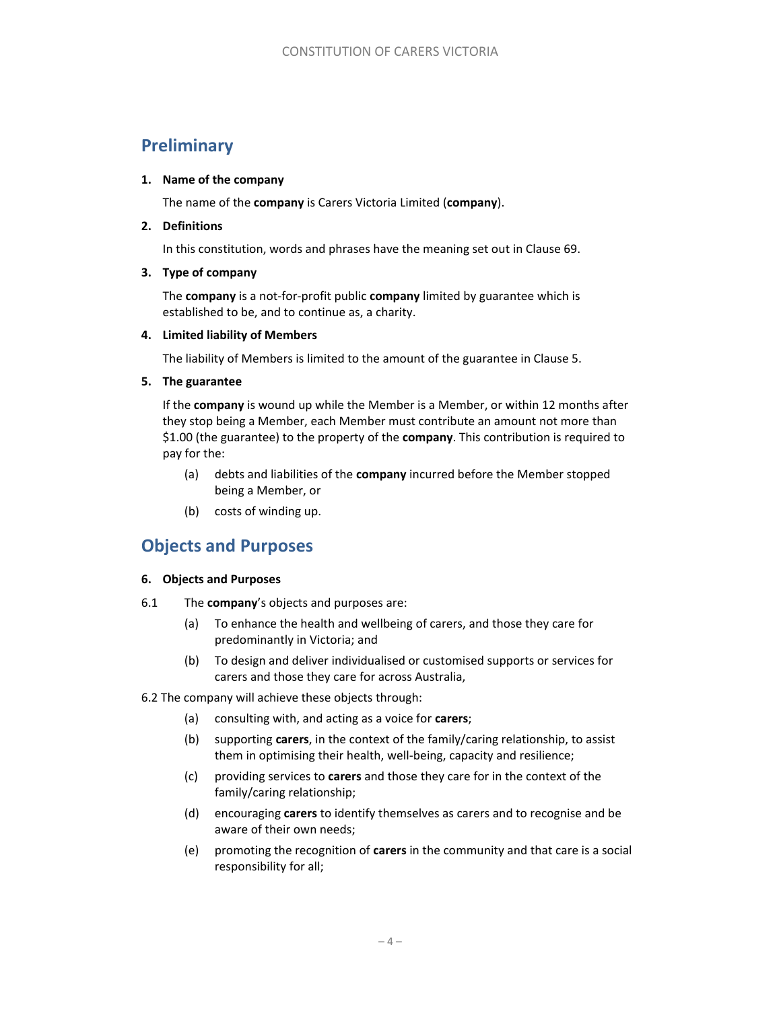# **Preliminary**

### **1. Name of the company**

The name of the **company** is Carers Victoria Limited (**company**).

### **2. Definitions**

In this constitution, words and phrases have the meaning set out in Clause 69.

### **3. Type of company**

The **company** is a not‐for‐profit public **company** limited by guarantee which is established to be, and to continue as, a charity.

### **4. Limited liability of Members**

The liability of Members is limited to the amount of the guarantee in Clause 5.

### **5. The guarantee**

If the **company** is wound up while the Member is a Member, or within 12 months after they stop being a Member, each Member must contribute an amount not more than \$1.00 (the guarantee) to the property of the **company**. This contribution is required to pay for the:

- (a) debts and liabilities of the **company** incurred before the Member stopped being a Member, or
- (b) costs of winding up.

# **Objects and Purposes**

# **6. Objects and Purposes**

- 6.1 The **company**'s objects and purposes are:
	- (a) To enhance the health and wellbeing of carers, and those they care for predominantly in Victoria; and
	- (b) To design and deliver individualised or customised supports or services for carers and those they care for across Australia,

# 6.2 The company will achieve these objects through:

- (a) consulting with, and acting as a voice for **carers**;
- (b) supporting **carers**, in the context of the family/caring relationship, to assist them in optimising their health, well‐being, capacity and resilience;
- (c) providing services to **carers** and those they care for in the context of the family/caring relationship;
- (d) encouraging **carers** to identify themselves as carers and to recognise and be aware of their own needs;
- (e) promoting the recognition of **carers** in the community and that care is a social responsibility for all;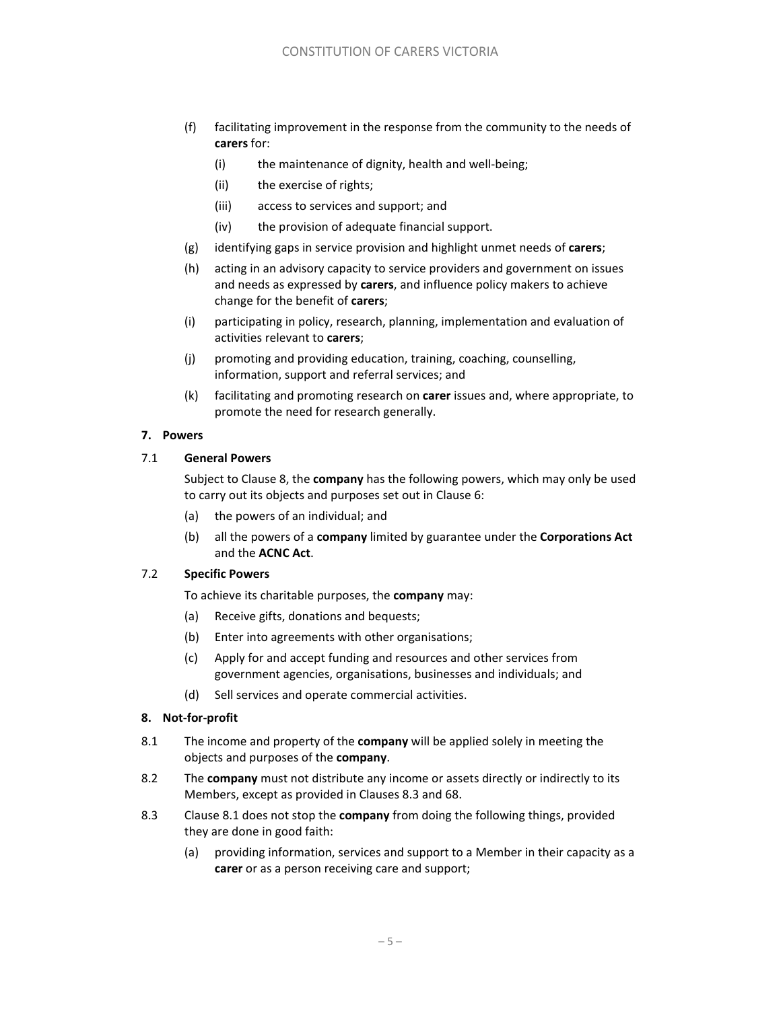- (f) facilitating improvement in the response from the community to the needs of **carers** for:
	- (i) the maintenance of dignity, health and well-being;
	- (ii) the exercise of rights;
	- (iii) access to services and support; and
	- (iv) the provision of adequate financial support.
- (g) identifying gaps in service provision and highlight unmet needs of **carers**;
- (h) acting in an advisory capacity to service providers and government on issues and needs as expressed by **carers**, and influence policy makers to achieve change for the benefit of **carers**;
- (i) participating in policy, research, planning, implementation and evaluation of activities relevant to **carers**;
- (j) promoting and providing education, training, coaching, counselling, information, support and referral services; and
- (k) facilitating and promoting research on **carer** issues and, where appropriate, to promote the need for research generally.

### **7. Powers**

### 7.1 **General Powers**

Subject to Clause 8, the **company** has the following powers, which may only be used to carry out its objects and purposes set out in Clause 6:

- (a) the powers of an individual; and
- (b) all the powers of a **company** limited by guarantee under the **Corporations Act**  and the **ACNC Act**.

# 7.2 **Specific Powers**

To achieve its charitable purposes, the **company** may:

- (a) Receive gifts, donations and bequests;
- (b) Enter into agreements with other organisations;
- (c) Apply for and accept funding and resources and other services from government agencies, organisations, businesses and individuals; and
- (d) Sell services and operate commercial activities.

# **8. Not‐for‐profit**

- 8.1 The income and property of the **company** will be applied solely in meeting the objects and purposes of the **company**.
- 8.2 The **company** must not distribute any income or assets directly or indirectly to its Members, except as provided in Clauses 8.3 and 68.
- 8.3 Clause 8.1 does not stop the **company** from doing the following things, provided they are done in good faith:
	- (a) providing information, services and support to a Member in their capacity as a **carer** or as a person receiving care and support;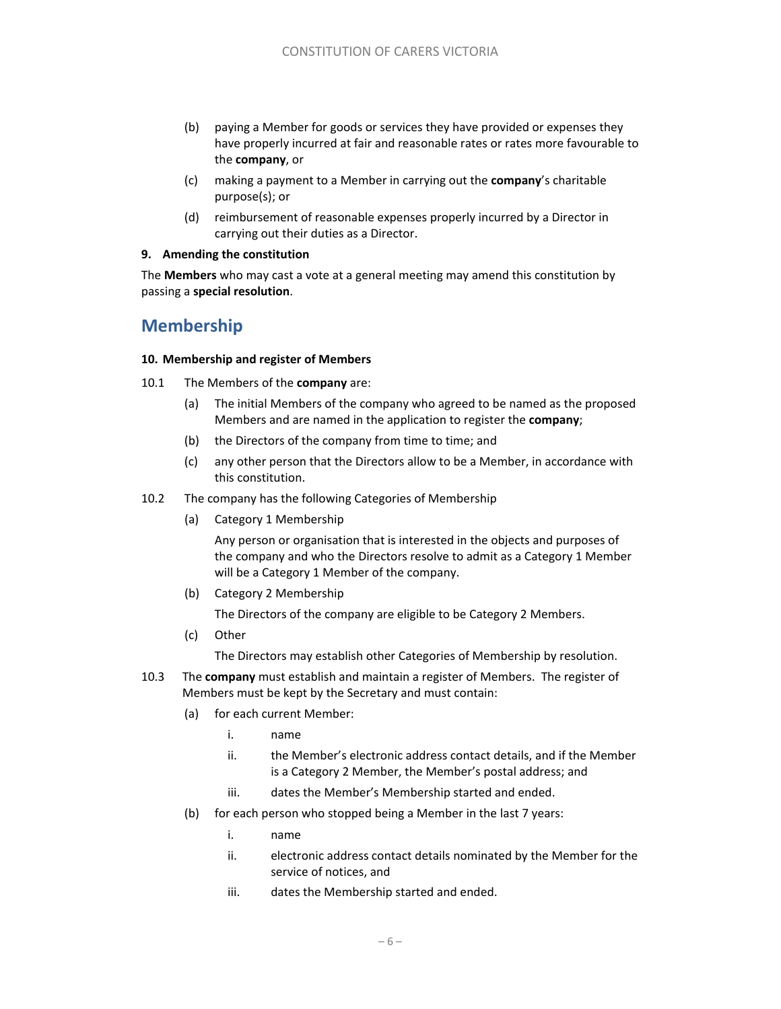- (b) paying a Member for goods or services they have provided or expenses they have properly incurred at fair and reasonable rates or rates more favourable to the **company**, or
- (c) making a payment to a Member in carrying out the **company**'s charitable purpose(s); or
- (d) reimbursement of reasonable expenses properly incurred by a Director in carrying out their duties as a Director.

### **9. Amending the constitution**

The **Members** who may cast a vote at a general meeting may amend this constitution by passing a **special resolution**.

# **Membership**

### **10. Membership and register of Members**

- 10.1 The Members of the **company** are:
	- (a) The initial Members of the company who agreed to be named as the proposed Members and are named in the application to register the **company**;
	- (b) the Directors of the company from time to time; and
	- (c) any other person that the Directors allow to be a Member, in accordance with this constitution.
- 10.2 The company has the following Categories of Membership
	- (a) Category 1 Membership

Any person or organisation that is interested in the objects and purposes of the company and who the Directors resolve to admit as a Category 1 Member will be a Category 1 Member of the company.

(b) Category 2 Membership

The Directors of the company are eligible to be Category 2 Members.

(c) Other

The Directors may establish other Categories of Membership by resolution.

- 10.3 The **company** must establish and maintain a register of Members. The register of Members must be kept by the Secretary and must contain:
	- (a) for each current Member:
		- i. name
		- ii. the Member's electronic address contact details, and if the Member is a Category 2 Member, the Member's postal address; and
		- iii. dates the Member's Membership started and ended.
	- (b) for each person who stopped being a Member in the last 7 years:
		- i. name
		- ii. electronic address contact details nominated by the Member for the service of notices, and
		- iii. dates the Membership started and ended.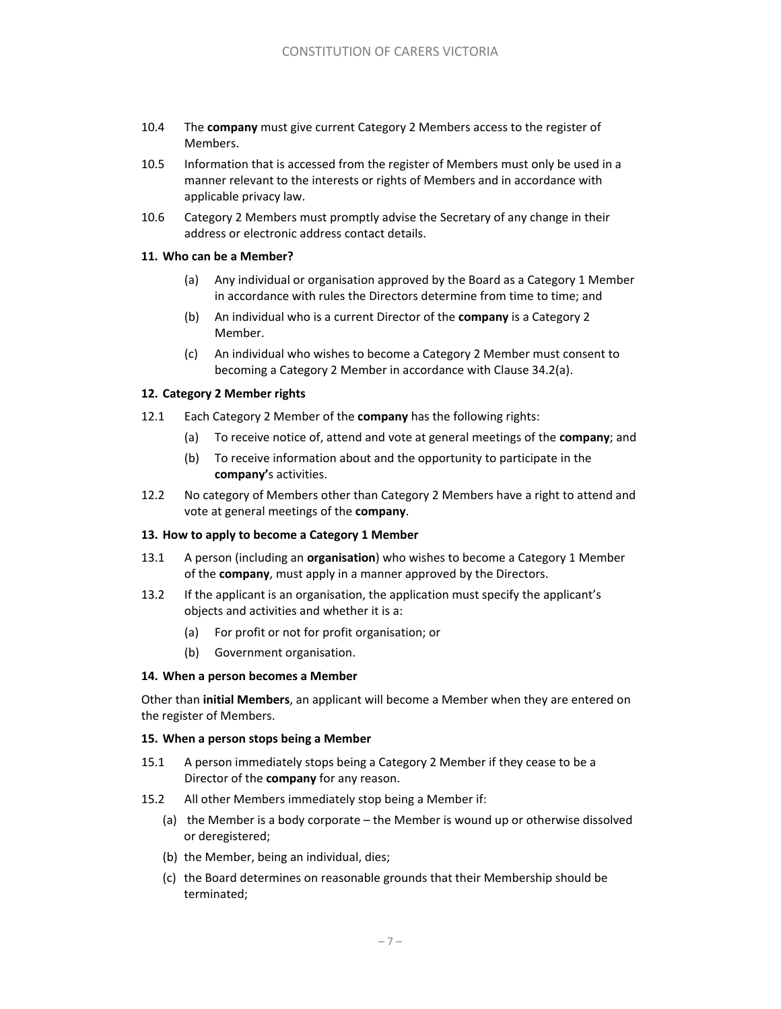- 10.4 The **company** must give current Category 2 Members access to the register of Members.
- 10.5 Information that is accessed from the register of Members must only be used in a manner relevant to the interests or rights of Members and in accordance with applicable privacy law.
- 10.6 Category 2 Members must promptly advise the Secretary of any change in their address or electronic address contact details.

### **11. Who can be a Member?**

- (a) Any individual or organisation approved by the Board as a Category 1 Member in accordance with rules the Directors determine from time to time; and
- (b) An individual who is a current Director of the **company** is a Category 2 Member.
- (c) An individual who wishes to become a Category 2 Member must consent to becoming a Category 2 Member in accordance with Clause 34.2(a).

### **12. Category 2 Member rights**

- 12.1 Each Category 2 Member of the **company** has the following rights:
	- (a) To receive notice of, attend and vote at general meetings of the **company**; and
	- (b) To receive information about and the opportunity to participate in the **company'**s activities.
- 12.2 No category of Members other than Category 2 Members have a right to attend and vote at general meetings of the **company**.

#### **13. How to apply to become a Category 1 Member**

- 13.1 A person (including an **organisation**) who wishes to become a Category 1 Member of the **company**, must apply in a manner approved by the Directors.
- 13.2 If the applicant is an organisation, the application must specify the applicant's objects and activities and whether it is a:
	- (a) For profit or not for profit organisation; or
	- (b) Government organisation.

#### **14. When a person becomes a Member**

Other than **initial Members**, an applicant will become a Member when they are entered on the register of Members.

#### **15. When a person stops being a Member**

- 15.1 A person immediately stops being a Category 2 Member if they cease to be a Director of the **company** for any reason.
- 15.2 All other Members immediately stop being a Member if:
	- (a) the Member is a body corporate the Member is wound up or otherwise dissolved or deregistered;
	- (b) the Member, being an individual, dies;
	- (c) the Board determines on reasonable grounds that their Membership should be terminated;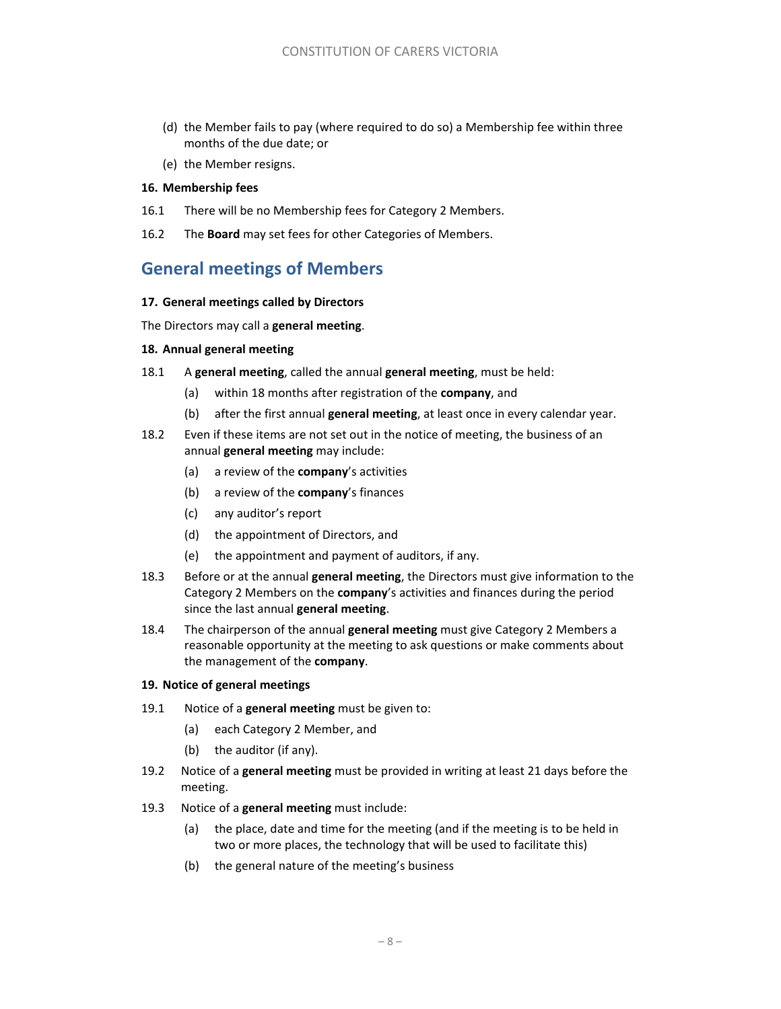- (d) the Member fails to pay (where required to do so) a Membership fee within three months of the due date; or
- (e) the Member resigns.

#### **16. Membership fees**

- 16.1 There will be no Membership fees for Category 2 Members.
- 16.2 The **Board** may set fees for other Categories of Members.

# **General meetings of Members**

#### **17. General meetings called by Directors**

The Directors may call a **general meeting**.

#### **18. Annual general meeting**

- 18.1 A **general meeting**, called the annual **general meeting**, must be held:
	- (a) within 18 months after registration of the **company**, and
	- (b) after the first annual **general meeting**, at least once in every calendar year.
- 18.2 Even if these items are not set out in the notice of meeting, the business of an annual **general meeting** may include:
	- (a) a review of the **company**'s activities
	- (b) a review of the **company**'s finances
	- (c) any auditor's report
	- (d) the appointment of Directors, and
	- (e) the appointment and payment of auditors, if any.
- 18.3 Before or at the annual **general meeting**, the Directors must give information to the Category 2 Members on the **company**'s activities and finances during the period since the last annual **general meeting**.
- 18.4 The chairperson of the annual **general meeting** must give Category 2 Members a reasonable opportunity at the meeting to ask questions or make comments about the management of the **company**.

#### **19. Notice of general meetings**

- 19.1 Notice of a **general meeting** must be given to:
	- (a) each Category 2 Member, and
	- (b) the auditor (if any).
- 19.2 Notice of a **general meeting** must be provided in writing at least 21 days before the meeting.
- 19.3 Notice of a **general meeting** must include:
	- (a) the place, date and time for the meeting (and if the meeting is to be held in two or more places, the technology that will be used to facilitate this)
	- (b) the general nature of the meeting's business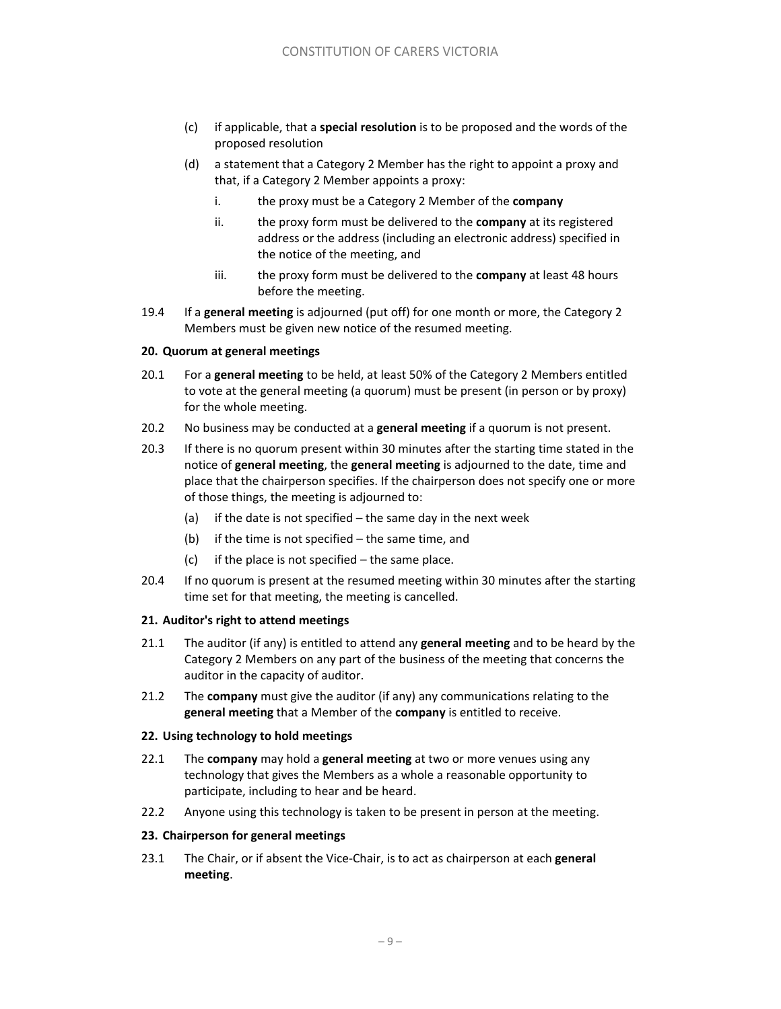- (c) if applicable, that a **special resolution** is to be proposed and the words of the proposed resolution
- (d) a statement that a Category 2 Member has the right to appoint a proxy and that, if a Category 2 Member appoints a proxy:
	- i. the proxy must be a Category 2 Member of the **company**
	- ii. the proxy form must be delivered to the **company** at its registered address or the address (including an electronic address) specified in the notice of the meeting, and
	- iii. the proxy form must be delivered to the **company** at least 48 hours before the meeting.
- 19.4 If a **general meeting** is adjourned (put off) for one month or more, the Category 2 Members must be given new notice of the resumed meeting.

### **20. Quorum at general meetings**

- 20.1 For a **general meeting** to be held, at least 50% of the Category 2 Members entitled to vote at the general meeting (a quorum) must be present (in person or by proxy) for the whole meeting.
- 20.2 No business may be conducted at a **general meeting** if a quorum is not present.
- 20.3 If there is no quorum present within 30 minutes after the starting time stated in the notice of **general meeting**, the **general meeting** is adjourned to the date, time and place that the chairperson specifies. If the chairperson does not specify one or more of those things, the meeting is adjourned to:
	- (a) if the date is not specified the same day in the next week
	- (b) if the time is not specified the same time, and
	- (c) if the place is not specified  $-$  the same place.
- 20.4 If no quorum is present at the resumed meeting within 30 minutes after the starting time set for that meeting, the meeting is cancelled.

#### **21. Auditor's right to attend meetings**

- 21.1 The auditor (if any) is entitled to attend any **general meeting** and to be heard by the Category 2 Members on any part of the business of the meeting that concerns the auditor in the capacity of auditor.
- 21.2 The **company** must give the auditor (if any) any communications relating to the **general meeting** that a Member of the **company** is entitled to receive.

#### **22. Using technology to hold meetings**

- 22.1 The **company** may hold a **general meeting** at two or more venues using any technology that gives the Members as a whole a reasonable opportunity to participate, including to hear and be heard.
- 22.2 Anyone using this technology is taken to be present in person at the meeting.

# **23. Chairperson for general meetings**

23.1 The Chair, or if absent the Vice‐Chair, is to act as chairperson at each **general meeting**.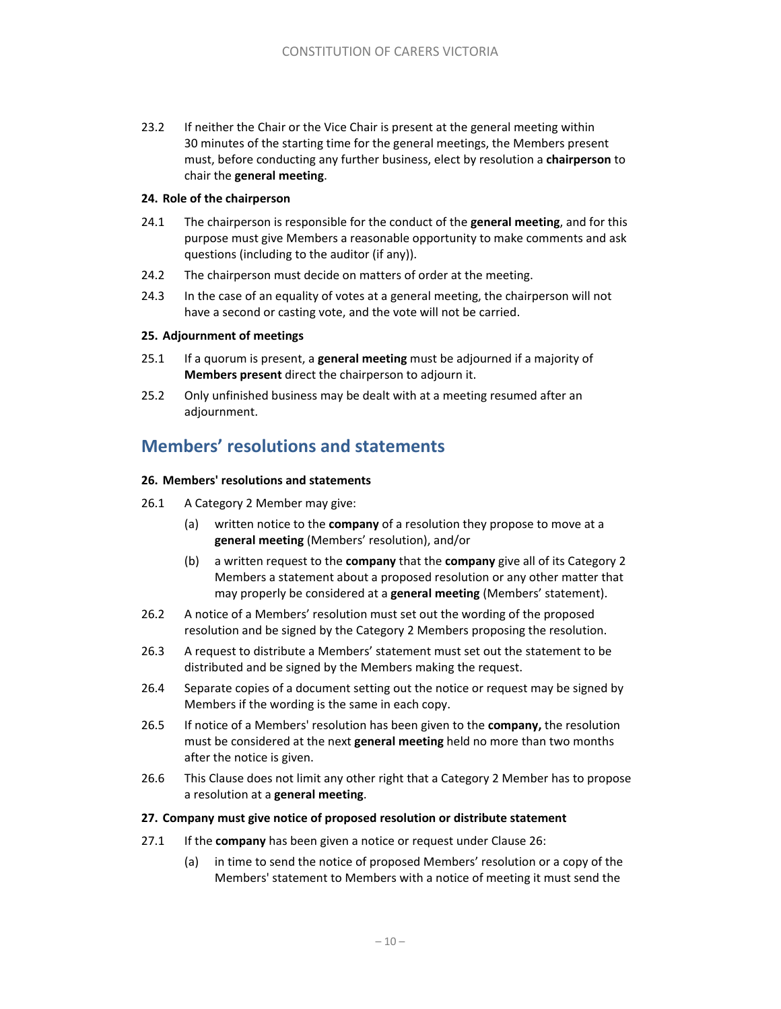23.2 If neither the Chair or the Vice Chair is present at the general meeting within 30 minutes of the starting time for the general meetings, the Members present must, before conducting any further business, elect by resolution a **chairperson** to chair the **general meeting**.

### **24. Role of the chairperson**

- 24.1 The chairperson is responsible for the conduct of the **general meeting**, and for this purpose must give Members a reasonable opportunity to make comments and ask questions (including to the auditor (if any)).
- 24.2 The chairperson must decide on matters of order at the meeting.
- 24.3 In the case of an equality of votes at a general meeting, the chairperson will not have a second or casting vote, and the vote will not be carried.

### **25. Adjournment of meetings**

- 25.1 If a quorum is present, a **general meeting** must be adjourned if a majority of **Members present** direct the chairperson to adjourn it.
- 25.2 Only unfinished business may be dealt with at a meeting resumed after an adjournment.

# **Members' resolutions and statements**

### **26. Members' resolutions and statements**

- 26.1 A Category 2 Member may give:
	- (a) written notice to the **company** of a resolution they propose to move at a **general meeting** (Members' resolution), and/or
	- (b) a written request to the **company** that the **company** give all of its Category 2 Members a statement about a proposed resolution or any other matter that may properly be considered at a **general meeting** (Members' statement).
- 26.2 A notice of a Members' resolution must set out the wording of the proposed resolution and be signed by the Category 2 Members proposing the resolution.
- 26.3 A request to distribute a Members' statement must set out the statement to be distributed and be signed by the Members making the request.
- 26.4 Separate copies of a document setting out the notice or request may be signed by Members if the wording is the same in each copy.
- 26.5 If notice of a Members' resolution has been given to the **company,** the resolution must be considered at the next **general meeting** held no more than two months after the notice is given.
- 26.6 This Clause does not limit any other right that a Category 2 Member has to propose a resolution at a **general meeting**.

#### **27. Company must give notice of proposed resolution or distribute statement**

- 27.1 If the **company** has been given a notice or request under Clause 26:
	- (a) in time to send the notice of proposed Members' resolution or a copy of the Members' statement to Members with a notice of meeting it must send the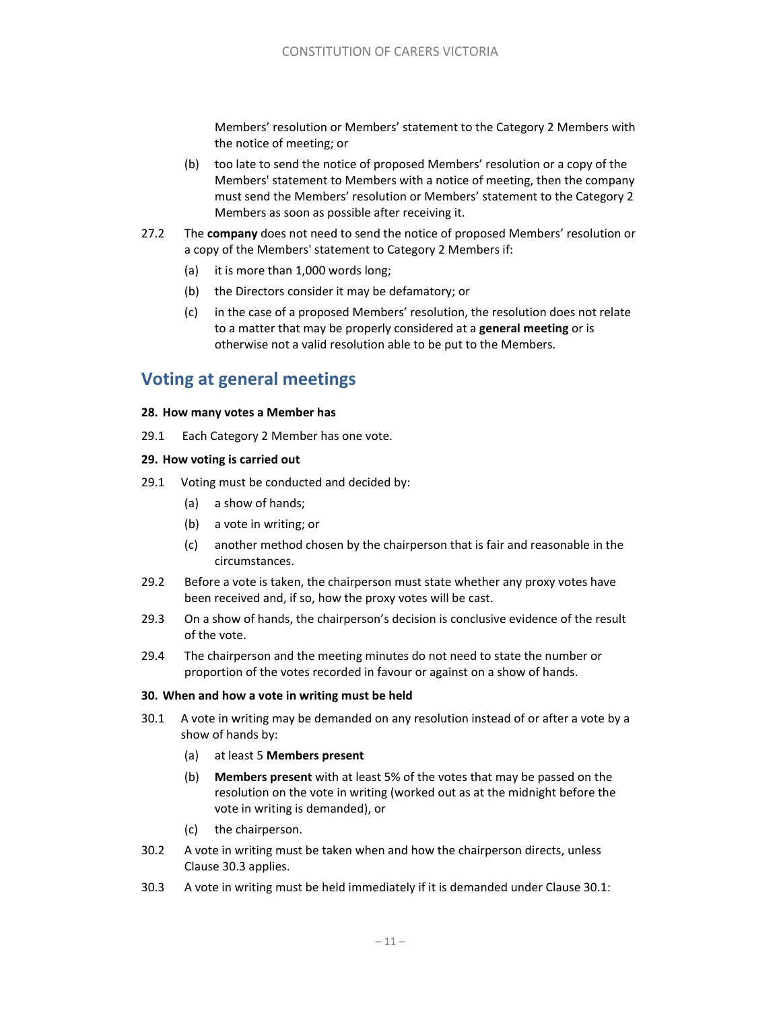Members' resolution or Members' statement to the Category 2 Members with the notice of meeting; or

- (b) too late to send the notice of proposed Members' resolution or a copy of the Members' statement to Members with a notice of meeting, then the company must send the Members' resolution or Members' statement to the Category 2 Members as soon as possible after receiving it.
- 27.2 The **company** does not need to send the notice of proposed Members' resolution or a copy of the Members' statement to Category 2 Members if:
	- (a) it is more than 1,000 words long;
	- (b) the Directors consider it may be defamatory; or
	- (c) in the case of a proposed Members' resolution, the resolution does not relate to a matter that may be properly considered at a **general meeting** or is otherwise not a valid resolution able to be put to the Members.

# **Voting at general meetings**

#### **28. How many votes a Member has**

29.1 Each Category 2 Member has one vote.

#### **29. How voting is carried out**

- 29.1 Voting must be conducted and decided by:
	- (a) a show of hands;
	- (b) a vote in writing; or
	- (c) another method chosen by the chairperson that is fair and reasonable in the circumstances.
- 29.2 Before a vote is taken, the chairperson must state whether any proxy votes have been received and, if so, how the proxy votes will be cast.
- 29.3 On a show of hands, the chairperson's decision is conclusive evidence of the result of the vote.
- 29.4 The chairperson and the meeting minutes do not need to state the number or proportion of the votes recorded in favour or against on a show of hands.

#### **30. When and how a vote in writing must be held**

- 30.1 A vote in writing may be demanded on any resolution instead of or after a vote by a show of hands by:
	- (a) at least 5 **Members present**
	- (b) **Members present** with at least 5% of the votes that may be passed on the resolution on the vote in writing (worked out as at the midnight before the vote in writing is demanded), or
	- (c) the chairperson.
- 30.2 A vote in writing must be taken when and how the chairperson directs, unless Clause 30.3 applies.
- 30.3 A vote in writing must be held immediately if it is demanded under Clause 30.1: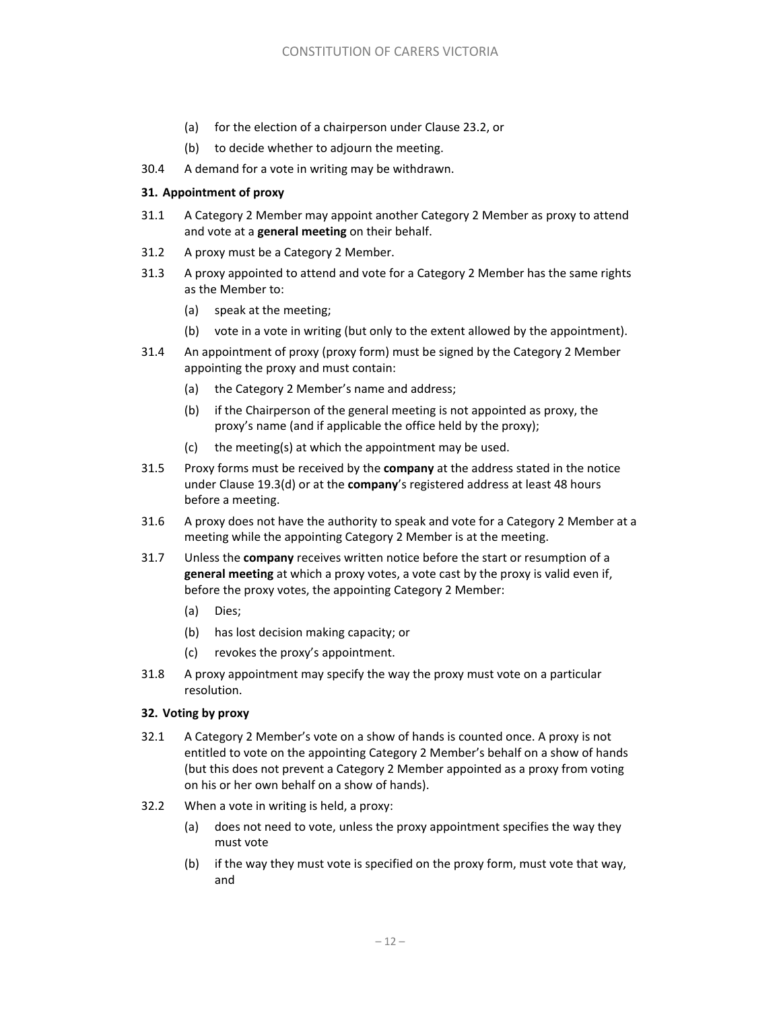- (a) for the election of a chairperson under Clause 23.2, or
- (b) to decide whether to adjourn the meeting.
- 30.4 A demand for a vote in writing may be withdrawn.

### **31. Appointment of proxy**

- 31.1 A Category 2 Member may appoint another Category 2 Member as proxy to attend and vote at a **general meeting** on their behalf.
- 31.2 A proxy must be a Category 2 Member.
- 31.3 A proxy appointed to attend and vote for a Category 2 Member has the same rights as the Member to:
	- (a) speak at the meeting;
	- (b) vote in a vote in writing (but only to the extent allowed by the appointment).
- 31.4 An appointment of proxy (proxy form) must be signed by the Category 2 Member appointing the proxy and must contain:
	- (a) the Category 2 Member's name and address;
	- (b) if the Chairperson of the general meeting is not appointed as proxy, the proxy's name (and if applicable the office held by the proxy);
	- (c) the meeting(s) at which the appointment may be used.
- 31.5 Proxy forms must be received by the **company** at the address stated in the notice under Clause 19.3(d) or at the **company**'s registered address at least 48 hours before a meeting.
- 31.6 A proxy does not have the authority to speak and vote for a Category 2 Member at a meeting while the appointing Category 2 Member is at the meeting.
- 31.7 Unless the **company** receives written notice before the start or resumption of a **general meeting** at which a proxy votes, a vote cast by the proxy is valid even if, before the proxy votes, the appointing Category 2 Member:
	- (a) Dies;
	- (b) has lost decision making capacity; or
	- (c) revokes the proxy's appointment.
- 31.8 A proxy appointment may specify the way the proxy must vote on a particular resolution.

#### **32. Voting by proxy**

- 32.1 A Category 2 Member's vote on a show of hands is counted once. A proxy is not entitled to vote on the appointing Category 2 Member's behalf on a show of hands (but this does not prevent a Category 2 Member appointed as a proxy from voting on his or her own behalf on a show of hands).
- 32.2 When a vote in writing is held, a proxy:
	- (a) does not need to vote, unless the proxy appointment specifies the way they must vote
	- (b) if the way they must vote is specified on the proxy form, must vote that way, and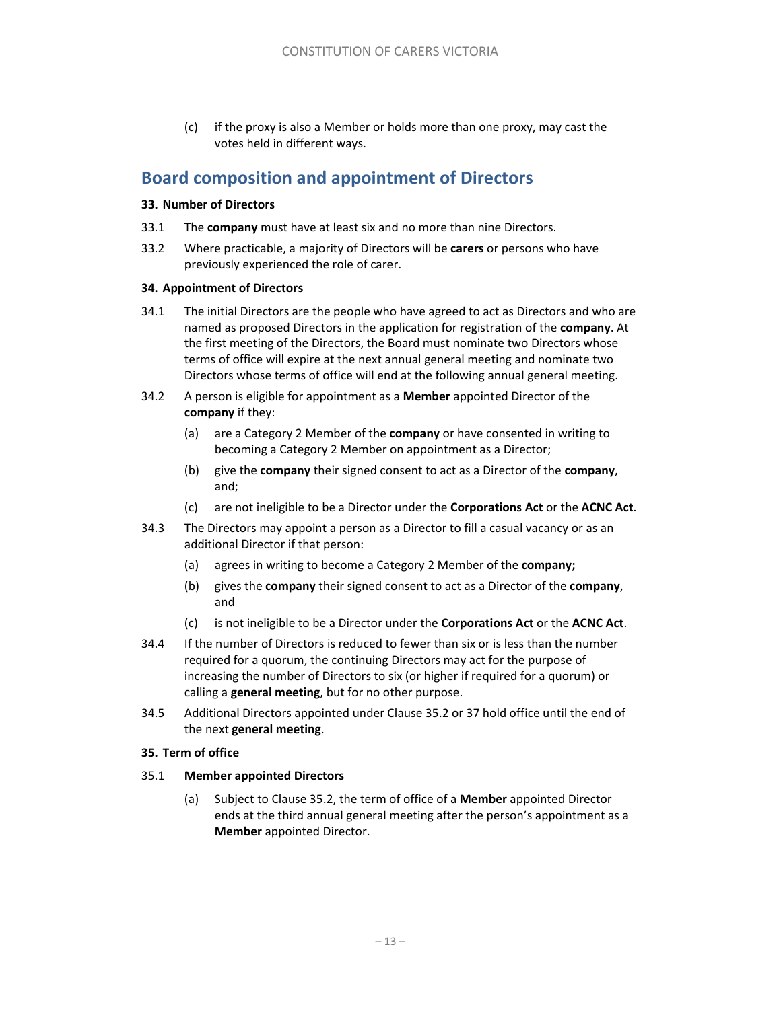(c) if the proxy is also a Member or holds more than one proxy, may cast the votes held in different ways.

# **Board composition and appointment of Directors**

### **33. Number of Directors**

- 33.1 The **company** must have at least six and no more than nine Directors.
- 33.2 Where practicable, a majority of Directors will be **carers** or persons who have previously experienced the role of carer.

### **34. Appointment of Directors**

- 34.1 The initial Directors are the people who have agreed to act as Directors and who are named as proposed Directors in the application for registration of the **company**. At the first meeting of the Directors, the Board must nominate two Directors whose terms of office will expire at the next annual general meeting and nominate two Directors whose terms of office will end at the following annual general meeting.
- 34.2 A person is eligible for appointment as a **Member** appointed Director of the **company** if they:
	- (a) are a Category 2 Member of the **company** or have consented in writing to becoming a Category 2 Member on appointment as a Director;
	- (b) give the **company** their signed consent to act as a Director of the **company**, and;
	- (c) are not ineligible to be a Director under the **Corporations Act** or the **ACNC Act**.
- 34.3 The Directors may appoint a person as a Director to fill a casual vacancy or as an additional Director if that person:
	- (a) agrees in writing to become a Category 2 Member of the **company;**
	- (b) gives the **company** their signed consent to act as a Director of the **company**, and
	- (c) is not ineligible to be a Director under the **Corporations Act** or the **ACNC Act**.
- 34.4 If the number of Directors is reduced to fewer than six or is less than the number required for a quorum, the continuing Directors may act for the purpose of increasing the number of Directors to six (or higher if required for a quorum) or calling a **general meeting**, but for no other purpose.
- 34.5 Additional Directors appointed under Clause 35.2 or 37 hold office until the end of the next **general meeting**.

# **35. Term of office**

#### 35.1 **Member appointed Directors**

(a) Subject to Clause 35.2, the term of office of a **Member** appointed Director ends at the third annual general meeting after the person's appointment as a **Member** appointed Director.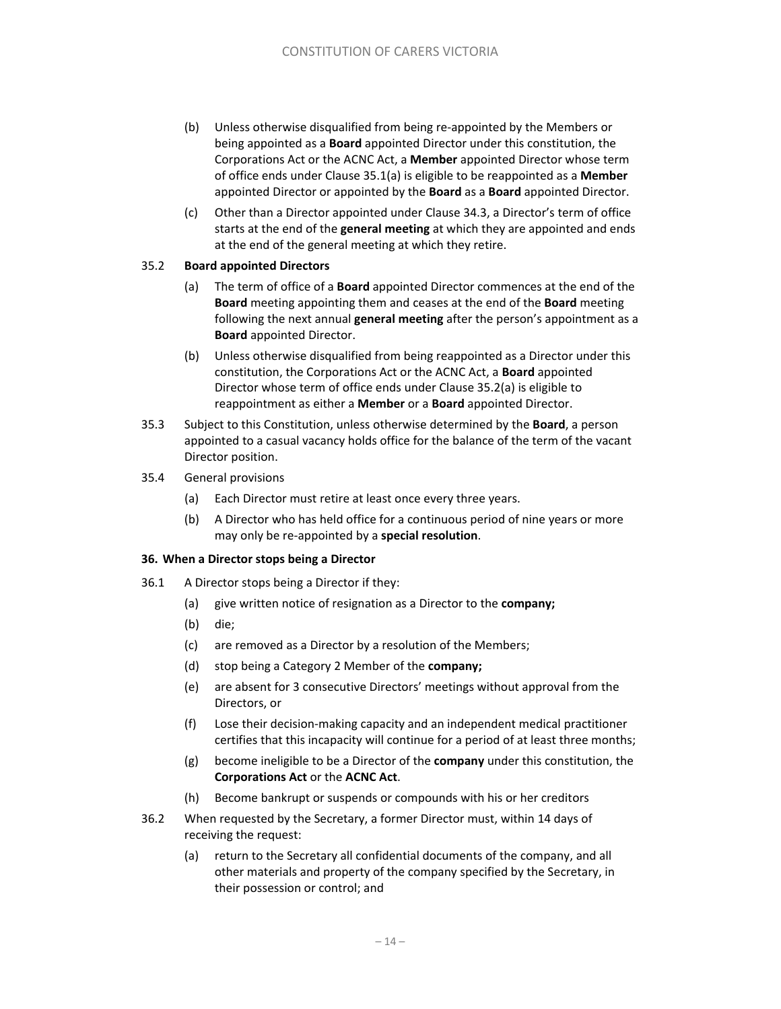- (b) Unless otherwise disqualified from being re‐appointed by the Members or being appointed as a **Board** appointed Director under this constitution, the Corporations Act or the ACNC Act, a **Member** appointed Director whose term of office ends under Clause 35.1(a) is eligible to be reappointed as a **Member** appointed Director or appointed by the **Board** as a **Board** appointed Director.
- (c) Other than a Director appointed under Clause 34.3, a Director's term of office starts at the end of the **general meeting** at which they are appointed and ends at the end of the general meeting at which they retire.

### 35.2 **Board appointed Directors**

- (a) The term of office of a **Board** appointed Director commences at the end of the **Board** meeting appointing them and ceases at the end of the **Board** meeting following the next annual **general meeting** after the person's appointment as a **Board** appointed Director.
- (b) Unless otherwise disqualified from being reappointed as a Director under this constitution, the Corporations Act or the ACNC Act, a **Board** appointed Director whose term of office ends under Clause 35.2(a) is eligible to reappointment as either a **Member** or a **Board** appointed Director.
- 35.3 Subject to this Constitution, unless otherwise determined by the **Board**, a person appointed to a casual vacancy holds office for the balance of the term of the vacant Director position.
- 35.4 General provisions
	- (a) Each Director must retire at least once every three years.
	- (b) A Director who has held office for a continuous period of nine years or more may only be re‐appointed by a **special resolution**.

#### **36. When a Director stops being a Director**

- 36.1 A Director stops being a Director if they:
	- (a) give written notice of resignation as a Director to the **company;**
	- (b) die;
	- (c) are removed as a Director by a resolution of the Members;
	- (d) stop being a Category 2 Member of the **company;**
	- (e) are absent for 3 consecutive Directors' meetings without approval from the Directors, or
	- (f) Lose their decision‐making capacity and an independent medical practitioner certifies that this incapacity will continue for a period of at least three months;
	- (g) become ineligible to be a Director of the **company** under this constitution, the **Corporations Act** or the **ACNC Act**.
	- (h) Become bankrupt or suspends or compounds with his or her creditors
- 36.2 When requested by the Secretary, a former Director must, within 14 days of receiving the request:
	- (a) return to the Secretary all confidential documents of the company, and all other materials and property of the company specified by the Secretary, in their possession or control; and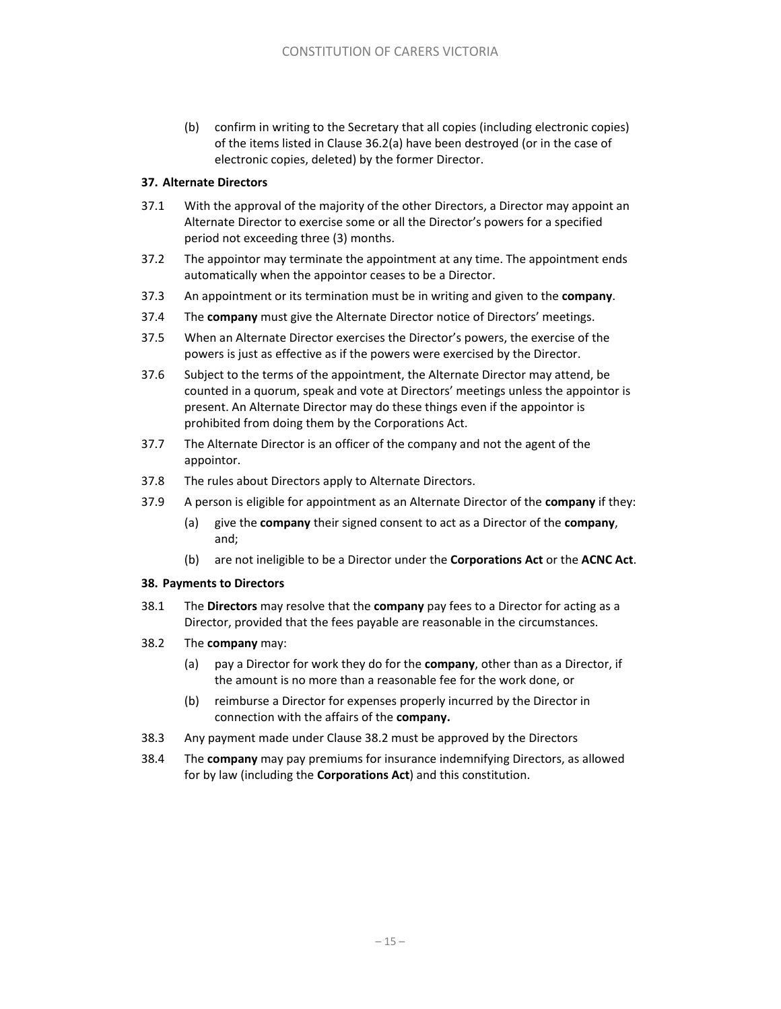(b) confirm in writing to the Secretary that all copies (including electronic copies) of the items listed in Clause 36.2(a) have been destroyed (or in the case of electronic copies, deleted) by the former Director.

### **37. Alternate Directors**

- 37.1 With the approval of the majority of the other Directors, a Director may appoint an Alternate Director to exercise some or all the Director's powers for a specified period not exceeding three (3) months.
- 37.2 The appointor may terminate the appointment at any time. The appointment ends automatically when the appointor ceases to be a Director.
- 37.3 An appointment or its termination must be in writing and given to the **company**.
- 37.4 The **company** must give the Alternate Director notice of Directors' meetings.
- 37.5 When an Alternate Director exercises the Director's powers, the exercise of the powers is just as effective as if the powers were exercised by the Director.
- 37.6 Subject to the terms of the appointment, the Alternate Director may attend, be counted in a quorum, speak and vote at Directors' meetings unless the appointor is present. An Alternate Director may do these things even if the appointor is prohibited from doing them by the Corporations Act.
- 37.7 The Alternate Director is an officer of the company and not the agent of the appointor.
- 37.8 The rules about Directors apply to Alternate Directors.
- 37.9 A person is eligible for appointment as an Alternate Director of the **company** if they:
	- (a) give the **company** their signed consent to act as a Director of the **company**, and;
	- (b) are not ineligible to be a Director under the **Corporations Act** or the **ACNC Act**.

#### **38. Payments to Directors**

- 38.1 The **Directors** may resolve that the **company** pay fees to a Director for acting as a Director, provided that the fees payable are reasonable in the circumstances.
- 38.2 The **company** may:
	- (a) pay a Director for work they do for the **company**, other than as a Director, if the amount is no more than a reasonable fee for the work done, or
	- (b) reimburse a Director for expenses properly incurred by the Director in connection with the affairs of the **company.**
- 38.3 Any payment made under Clause 38.2 must be approved by the Directors
- 38.4 The **company** may pay premiums for insurance indemnifying Directors, as allowed for by law (including the **Corporations Act**) and this constitution.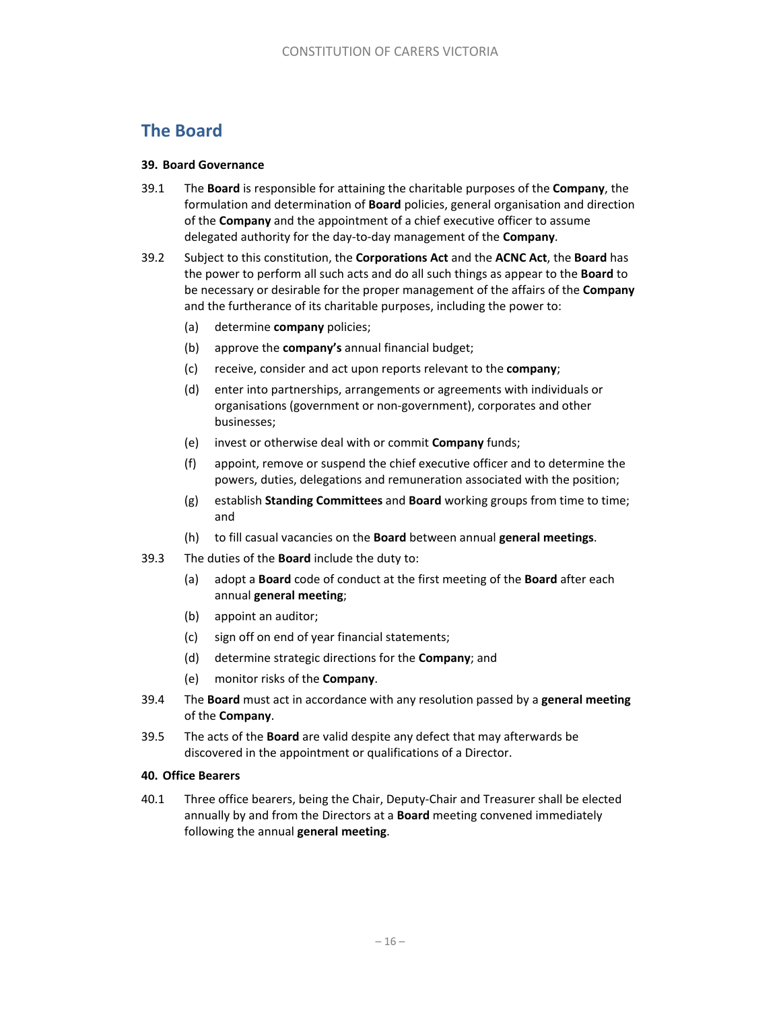# **The Board**

### **39. Board Governance**

- 39.1 The **Board** is responsible for attaining the charitable purposes of the **Company**, the formulation and determination of **Board** policies, general organisation and direction of the **Company** and the appointment of a chief executive officer to assume delegated authority for the day‐to‐day management of the **Company**.
- 39.2 Subject to this constitution, the **Corporations Act** and the **ACNC Act**, the **Board** has the power to perform all such acts and do all such things as appear to the **Board** to be necessary or desirable for the proper management of the affairs of the **Company** and the furtherance of its charitable purposes, including the power to:
	- (a) determine **company** policies;
	- (b) approve the **company's** annual financial budget;
	- (c) receive, consider and act upon reports relevant to the **company**;
	- (d) enter into partnerships, arrangements or agreements with individuals or organisations (government or non‐government), corporates and other businesses;
	- (e) invest or otherwise deal with or commit **Company** funds;
	- (f) appoint, remove or suspend the chief executive officer and to determine the powers, duties, delegations and remuneration associated with the position;
	- (g) establish **Standing Committees** and **Board** working groups from time to time; and
	- (h) to fill casual vacancies on the **Board** between annual **general meetings**.
- 39.3 The duties of the **Board** include the duty to:
	- (a) adopt a **Board** code of conduct at the first meeting of the **Board** after each annual **general meeting**;
	- (b) appoint an auditor;
	- (c) sign off on end of year financial statements;
	- (d) determine strategic directions for the **Company**; and
	- (e) monitor risks of the **Company**.
- 39.4 The **Board** must act in accordance with any resolution passed by a **general meeting**  of the **Company**.
- 39.5 The acts of the **Board** are valid despite any defect that may afterwards be discovered in the appointment or qualifications of a Director.

#### **40. Office Bearers**

40.1 Three office bearers, being the Chair, Deputy‐Chair and Treasurer shall be elected annually by and from the Directors at a **Board** meeting convened immediately following the annual **general meeting**.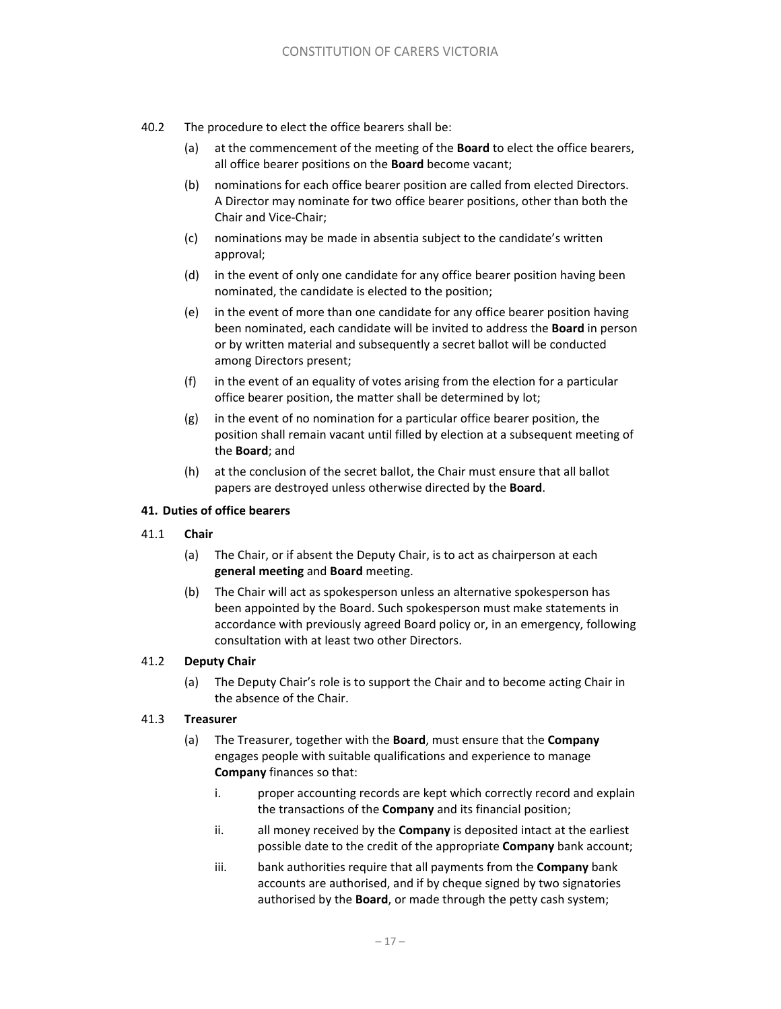- 40.2 The procedure to elect the office bearers shall be:
	- (a) at the commencement of the meeting of the **Board** to elect the office bearers, all office bearer positions on the **Board** become vacant;
	- (b) nominations for each office bearer position are called from elected Directors. A Director may nominate for two office bearer positions, other than both the Chair and Vice‐Chair;
	- (c) nominations may be made in absentia subject to the candidate's written approval;
	- (d) in the event of only one candidate for any office bearer position having been nominated, the candidate is elected to the position;
	- (e) in the event of more than one candidate for any office bearer position having been nominated, each candidate will be invited to address the **Board** in person or by written material and subsequently a secret ballot will be conducted among Directors present;
	- (f) in the event of an equality of votes arising from the election for a particular office bearer position, the matter shall be determined by lot;
	- (g) in the event of no nomination for a particular office bearer position, the position shall remain vacant until filled by election at a subsequent meeting of the **Board**; and
	- (h) at the conclusion of the secret ballot, the Chair must ensure that all ballot papers are destroyed unless otherwise directed by the **Board**.

### **41. Duties of office bearers**

- 41.1 **Chair** 
	- (a) The Chair, or if absent the Deputy Chair, is to act as chairperson at each **general meeting** and **Board** meeting.
	- (b) The Chair will act as spokesperson unless an alternative spokesperson has been appointed by the Board. Such spokesperson must make statements in accordance with previously agreed Board policy or, in an emergency, following consultation with at least two other Directors.

### 41.2 **Deputy Chair**

(a) The Deputy Chair's role is to support the Chair and to become acting Chair in the absence of the Chair.

#### 41.3 **Treasurer**

- (a) The Treasurer, together with the **Board**, must ensure that the **Company** engages people with suitable qualifications and experience to manage **Company** finances so that:
	- i. proper accounting records are kept which correctly record and explain the transactions of the **Company** and its financial position;
	- ii. all money received by the **Company** is deposited intact at the earliest possible date to the credit of the appropriate **Company** bank account;
	- iii. bank authorities require that all payments from the **Company** bank accounts are authorised, and if by cheque signed by two signatories authorised by the **Board**, or made through the petty cash system;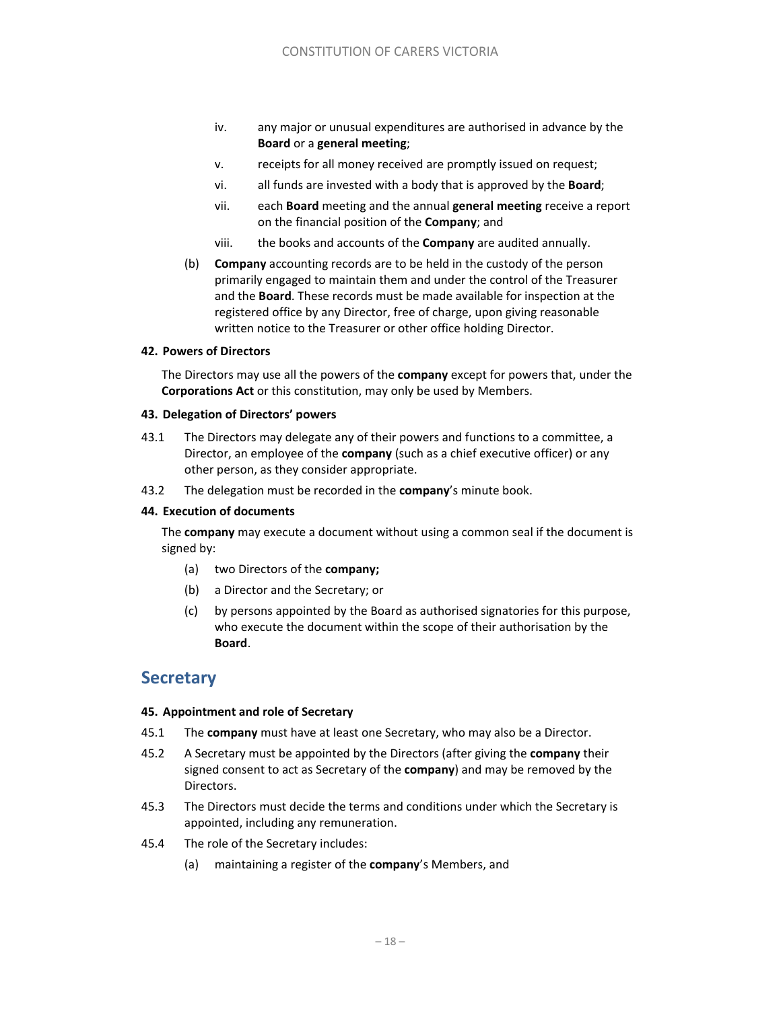- iv. any major or unusual expenditures are authorised in advance by the **Board** or a **general meeting**;
- v. receipts for all money received are promptly issued on request;
- vi. all funds are invested with a body that is approved by the **Board**;
- vii. each **Board** meeting and the annual **general meeting** receive a report on the financial position of the **Company**; and
- viii. the books and accounts of the **Company** are audited annually.
- (b) **Company** accounting records are to be held in the custody of the person primarily engaged to maintain them and under the control of the Treasurer and the **Board**. These records must be made available for inspection at the registered office by any Director, free of charge, upon giving reasonable written notice to the Treasurer or other office holding Director.

#### **42. Powers of Directors**

The Directors may use all the powers of the **company** except for powers that, under the **Corporations Act** or this constitution, may only be used by Members.

#### **43. Delegation of Directors' powers**

- 43.1 The Directors may delegate any of their powers and functions to a committee, a Director, an employee of the **company** (such as a chief executive officer) or any other person, as they consider appropriate.
- 43.2 The delegation must be recorded in the **company**'s minute book.

#### **44. Execution of documents**

The **company** may execute a document without using a common seal if the document is signed by:

- (a) two Directors of the **company;**
- (b) a Director and the Secretary; or
- (c) by persons appointed by the Board as authorised signatories for this purpose, who execute the document within the scope of their authorisation by the **Board**.

# **Secretary**

#### **45. Appointment and role of Secretary**

- 45.1 The **company** must have at least one Secretary, who may also be a Director.
- 45.2 A Secretary must be appointed by the Directors (after giving the **company** their signed consent to act as Secretary of the **company**) and may be removed by the Directors.
- 45.3 The Directors must decide the terms and conditions under which the Secretary is appointed, including any remuneration.
- 45.4 The role of the Secretary includes:
	- (a) maintaining a register of the **company**'s Members, and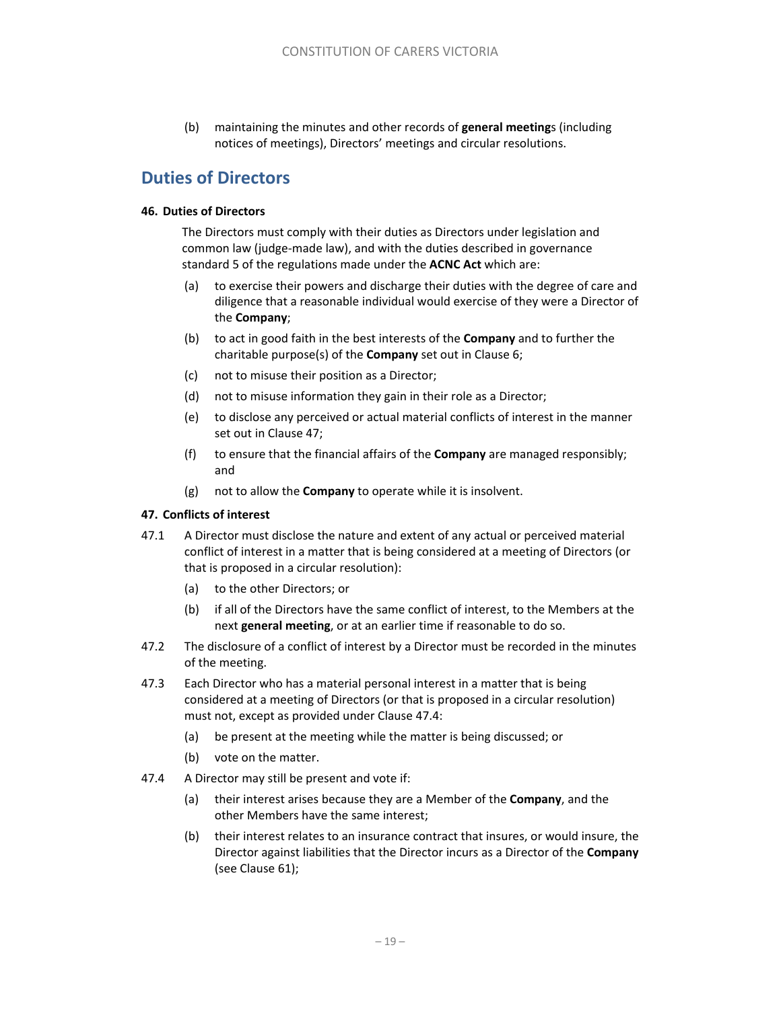(b) maintaining the minutes and other records of **general meeting**s (including notices of meetings), Directors' meetings and circular resolutions.

# **Duties of Directors**

### **46. Duties of Directors**

The Directors must comply with their duties as Directors under legislation and common law (judge‐made law), and with the duties described in governance standard 5 of the regulations made under the **ACNC Act** which are:

- (a) to exercise their powers and discharge their duties with the degree of care and diligence that a reasonable individual would exercise of they were a Director of the **Company**;
- (b) to act in good faith in the best interests of the **Company** and to further the charitable purpose(s) of the **Company** set out in Clause 6;
- (c) not to misuse their position as a Director;
- (d) not to misuse information they gain in their role as a Director;
- (e) to disclose any perceived or actual material conflicts of interest in the manner set out in Clause 47;
- (f) to ensure that the financial affairs of the **Company** are managed responsibly; and
- (g) not to allow the **Company** to operate while it is insolvent.

# **47. Conflicts of interest**

- 47.1 A Director must disclose the nature and extent of any actual or perceived material conflict of interest in a matter that is being considered at a meeting of Directors (or that is proposed in a circular resolution):
	- (a) to the other Directors; or
	- (b) if all of the Directors have the same conflict of interest, to the Members at the next **general meeting**, or at an earlier time if reasonable to do so.
- 47.2 The disclosure of a conflict of interest by a Director must be recorded in the minutes of the meeting.
- 47.3 Each Director who has a material personal interest in a matter that is being considered at a meeting of Directors (or that is proposed in a circular resolution) must not, except as provided under Clause 47.4:
	- (a) be present at the meeting while the matter is being discussed; or
	- (b) vote on the matter.
- 47.4 A Director may still be present and vote if:
	- (a) their interest arises because they are a Member of the **Company**, and the other Members have the same interest;
	- (b) their interest relates to an insurance contract that insures, or would insure, the Director against liabilities that the Director incurs as a Director of the **Company** (see Clause 61);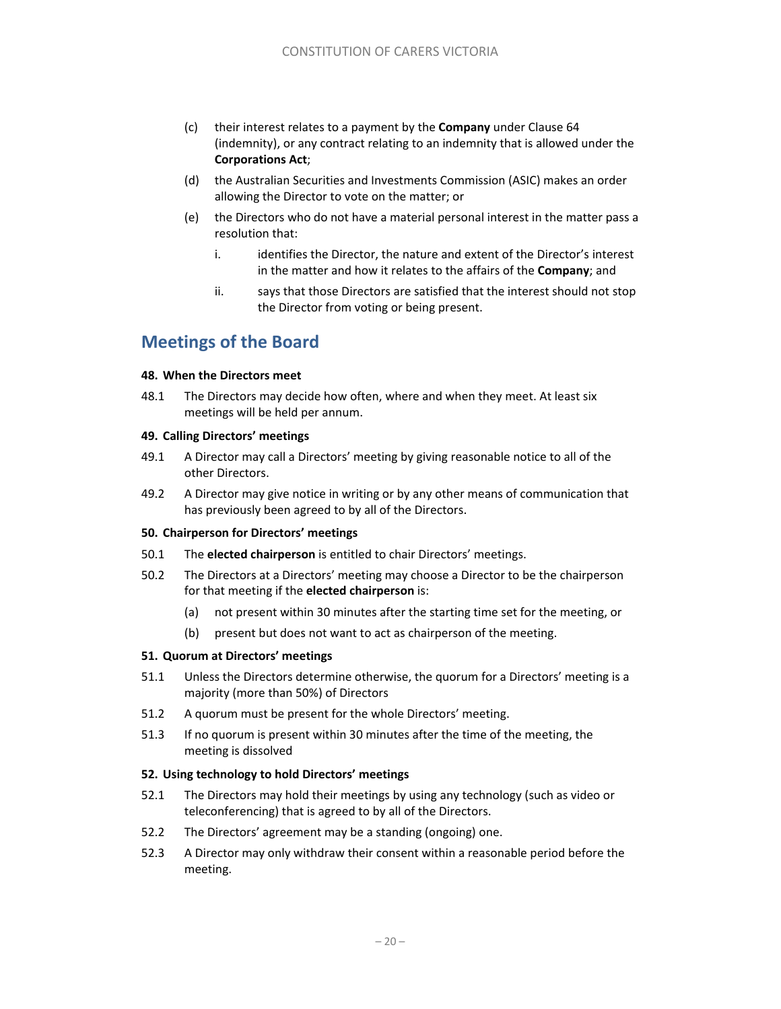- (c) their interest relates to a payment by the **Company** under Clause 64 (indemnity), or any contract relating to an indemnity that is allowed under the **Corporations Act**;
- (d) the Australian Securities and Investments Commission (ASIC) makes an order allowing the Director to vote on the matter; or
- (e) the Directors who do not have a material personal interest in the matter pass a resolution that:
	- i. identifies the Director, the nature and extent of the Director's interest in the matter and how it relates to the affairs of the **Company**; and
	- ii. says that those Directors are satisfied that the interest should not stop the Director from voting or being present.

# **Meetings of the Board**

### **48. When the Directors meet**

48.1 The Directors may decide how often, where and when they meet. At least six meetings will be held per annum.

### **49. Calling Directors' meetings**

- 49.1 A Director may call a Directors' meeting by giving reasonable notice to all of the other Directors.
- 49.2 A Director may give notice in writing or by any other means of communication that has previously been agreed to by all of the Directors.

# **50. Chairperson for Directors' meetings**

- 50.1 The **elected chairperson** is entitled to chair Directors' meetings.
- 50.2 The Directors at a Directors' meeting may choose a Director to be the chairperson for that meeting if the **elected chairperson** is:
	- (a) not present within 30 minutes after the starting time set for the meeting, or
	- (b) present but does not want to act as chairperson of the meeting.

# **51. Quorum at Directors' meetings**

- 51.1 Unless the Directors determine otherwise, the quorum for a Directors' meeting is a majority (more than 50%) of Directors
- 51.2 A quorum must be present for the whole Directors' meeting.
- 51.3 If no quorum is present within 30 minutes after the time of the meeting, the meeting is dissolved

# **52. Using technology to hold Directors' meetings**

- 52.1 The Directors may hold their meetings by using any technology (such as video or teleconferencing) that is agreed to by all of the Directors.
- 52.2 The Directors' agreement may be a standing (ongoing) one.
- 52.3 A Director may only withdraw their consent within a reasonable period before the meeting.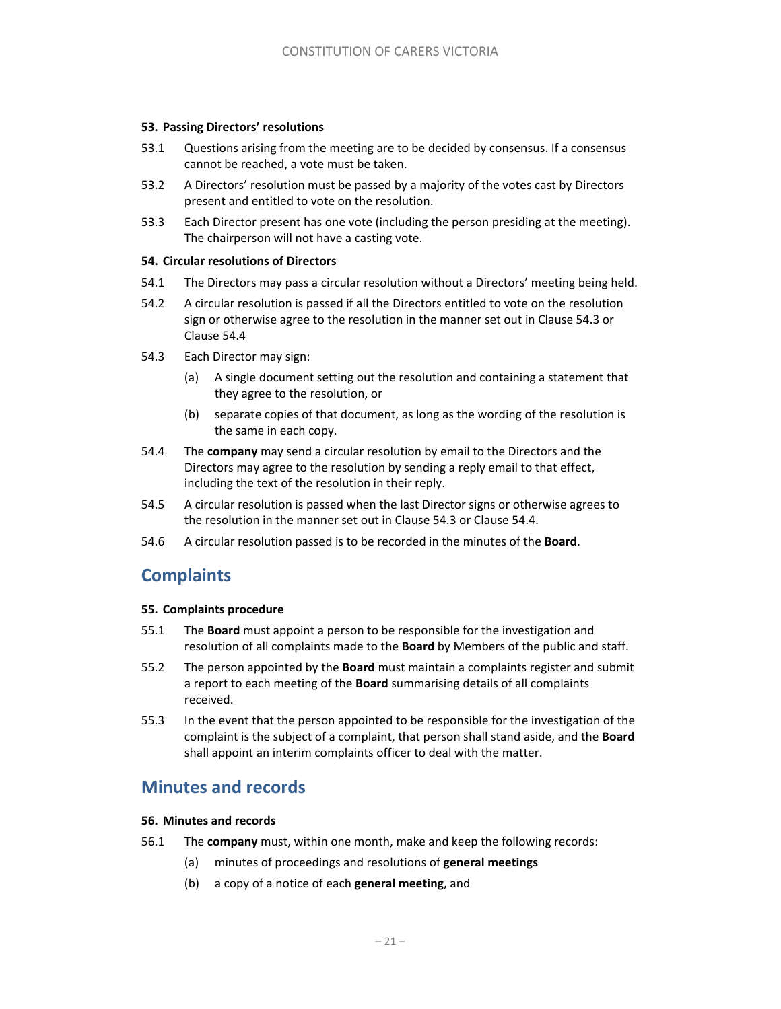#### **53. Passing Directors' resolutions**

- 53.1 Questions arising from the meeting are to be decided by consensus. If a consensus cannot be reached, a vote must be taken.
- 53.2 A Directors' resolution must be passed by a majority of the votes cast by Directors present and entitled to vote on the resolution.
- 53.3 Each Director present has one vote (including the person presiding at the meeting). The chairperson will not have a casting vote.

#### **54. Circular resolutions of Directors**

- 54.1 The Directors may pass a circular resolution without a Directors' meeting being held.
- 54.2 A circular resolution is passed if all the Directors entitled to vote on the resolution sign or otherwise agree to the resolution in the manner set out in Clause 54.3 or Clause 54.4
- 54.3 Each Director may sign:
	- (a) A single document setting out the resolution and containing a statement that they agree to the resolution, or
	- (b) separate copies of that document, as long as the wording of the resolution is the same in each copy.
- 54.4 The **company** may send a circular resolution by email to the Directors and the Directors may agree to the resolution by sending a reply email to that effect, including the text of the resolution in their reply.
- 54.5 A circular resolution is passed when the last Director signs or otherwise agrees to the resolution in the manner set out in Clause 54.3 or Clause 54.4.
- 54.6 A circular resolution passed is to be recorded in the minutes of the **Board**.

# **Complaints**

#### **55. Complaints procedure**

- 55.1 The **Board** must appoint a person to be responsible for the investigation and resolution of all complaints made to the **Board** by Members of the public and staff.
- 55.2 The person appointed by the **Board** must maintain a complaints register and submit a report to each meeting of the **Board** summarising details of all complaints received.
- 55.3 In the event that the person appointed to be responsible for the investigation of the complaint is the subject of a complaint, that person shall stand aside, and the **Board** shall appoint an interim complaints officer to deal with the matter.

# **Minutes and records**

#### **56. Minutes and records**

- 56.1 The **company** must, within one month, make and keep the following records:
	- (a) minutes of proceedings and resolutions of **general meetings**
	- (b) a copy of a notice of each **general meeting**, and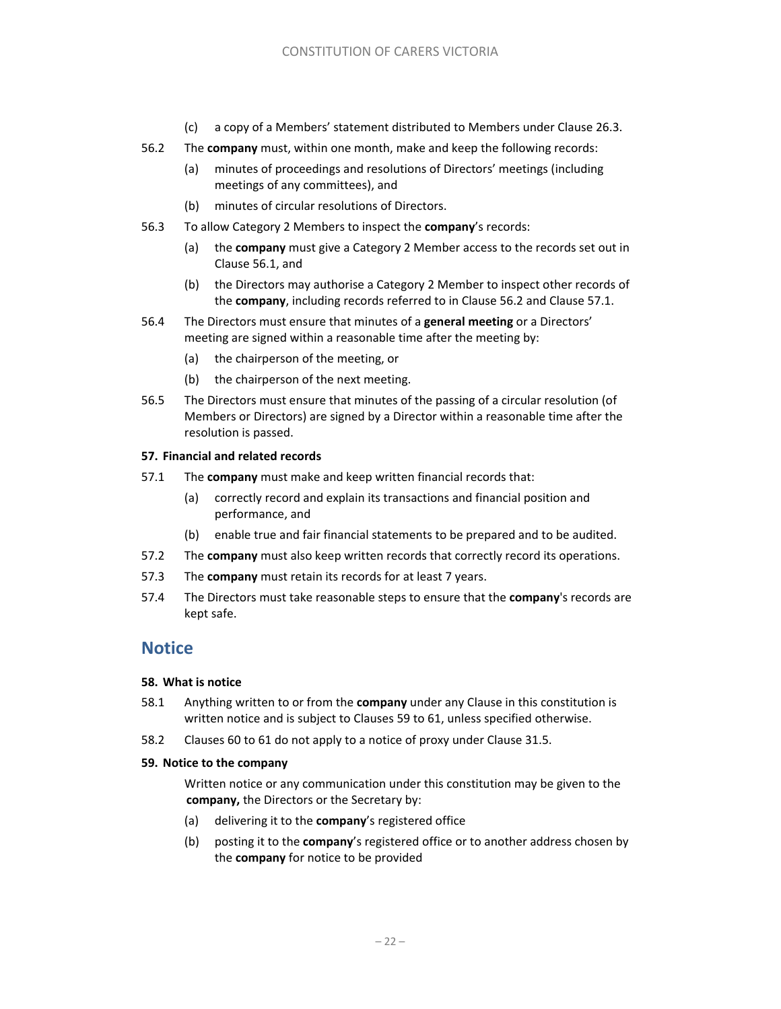- (c) a copy of a Members' statement distributed to Members under Clause 26.3.
- 56.2 The **company** must, within one month, make and keep the following records:
	- (a) minutes of proceedings and resolutions of Directors' meetings (including meetings of any committees), and
	- (b) minutes of circular resolutions of Directors.
- 56.3 To allow Category 2 Members to inspect the **company**'s records:
	- (a) the **company** must give a Category 2 Member access to the records set out in Clause 56.1, and
	- (b) the Directors may authorise a Category 2 Member to inspect other records of the **company**, including records referred to in Clause 56.2 and Clause 57.1.
- 56.4 The Directors must ensure that minutes of a **general meeting** or a Directors' meeting are signed within a reasonable time after the meeting by:
	- (a) the chairperson of the meeting, or
	- (b) the chairperson of the next meeting.
- 56.5 The Directors must ensure that minutes of the passing of a circular resolution (of Members or Directors) are signed by a Director within a reasonable time after the resolution is passed.

#### **57. Financial and related records**

- 57.1 The **company** must make and keep written financial records that:
	- (a) correctly record and explain its transactions and financial position and performance, and
	- (b) enable true and fair financial statements to be prepared and to be audited.
- 57.2 The **company** must also keep written records that correctly record its operations.
- 57.3 The **company** must retain its records for at least 7 years.
- 57.4 The Directors must take reasonable steps to ensure that the **company**'s records are kept safe.

# **Notice**

#### **58. What is notice**

- 58.1 Anything written to or from the **company** under any Clause in this constitution is written notice and is subject to Clauses 59 to 61, unless specified otherwise.
- 58.2 Clauses 60 to 61 do not apply to a notice of proxy under Clause 31.5.

#### **59. Notice to the company**

Written notice or any communication under this constitution may be given to the **company,** the Directors or the Secretary by:

- (a) delivering it to the **company**'s registered office
- (b) posting it to the **company**'s registered office or to another address chosen by the **company** for notice to be provided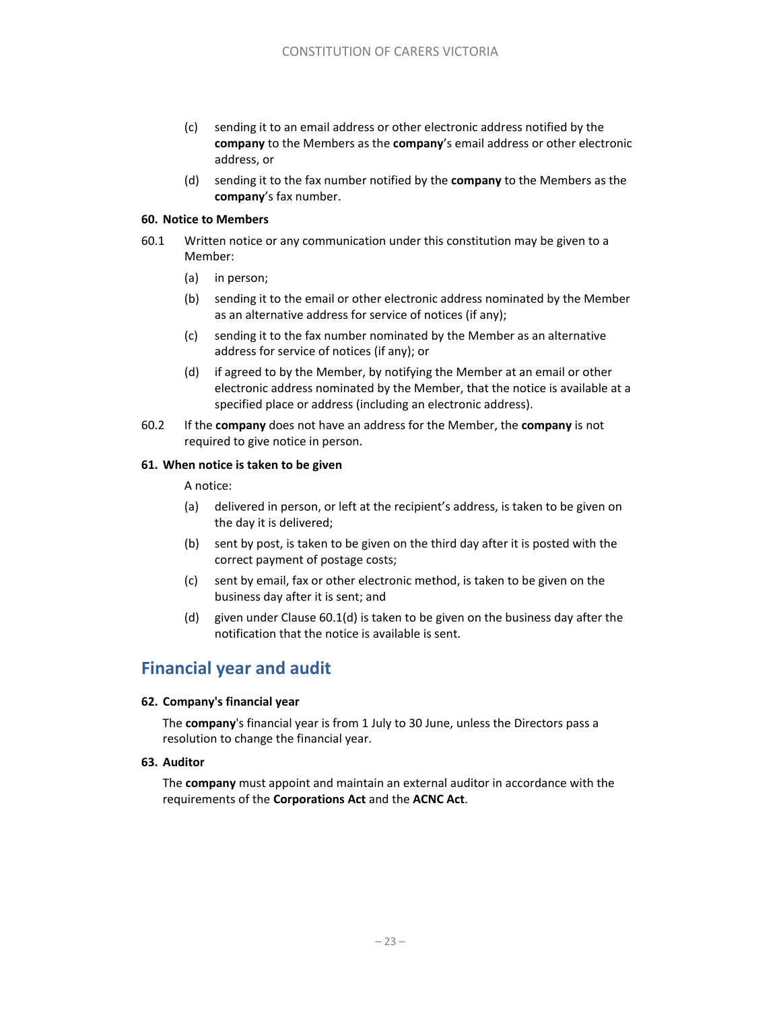- (c) sending it to an email address or other electronic address notified by the **company** to the Members as the **company**'s email address or other electronic address, or
- (d) sending it to the fax number notified by the **company** to the Members as the **company**'s fax number.

### **60. Notice to Members**

- 60.1 Written notice or any communication under this constitution may be given to a Member:
	- (a) in person;
	- (b) sending it to the email or other electronic address nominated by the Member as an alternative address for service of notices (if any);
	- (c) sending it to the fax number nominated by the Member as an alternative address for service of notices (if any); or
	- (d) if agreed to by the Member, by notifying the Member at an email or other electronic address nominated by the Member, that the notice is available at a specified place or address (including an electronic address).
- 60.2 If the **company** does not have an address for the Member, the **company** is not required to give notice in person.

# **61. When notice is taken to be given**

### A notice:

- (a) delivered in person, or left at the recipient's address, is taken to be given on the day it is delivered;
- (b) sent by post, is taken to be given on the third day after it is posted with the correct payment of postage costs;
- (c) sent by email, fax or other electronic method, is taken to be given on the business day after it is sent; and
- (d) given under Clause 60.1(d) is taken to be given on the business day after the notification that the notice is available is sent.

# **Financial year and audit**

# **62. Company's financial year**

The **company**'s financial year is from 1 July to 30 June, unless the Directors pass a resolution to change the financial year.

#### **63. Auditor**

The **company** must appoint and maintain an external auditor in accordance with the requirements of the **Corporations Act** and the **ACNC Act**.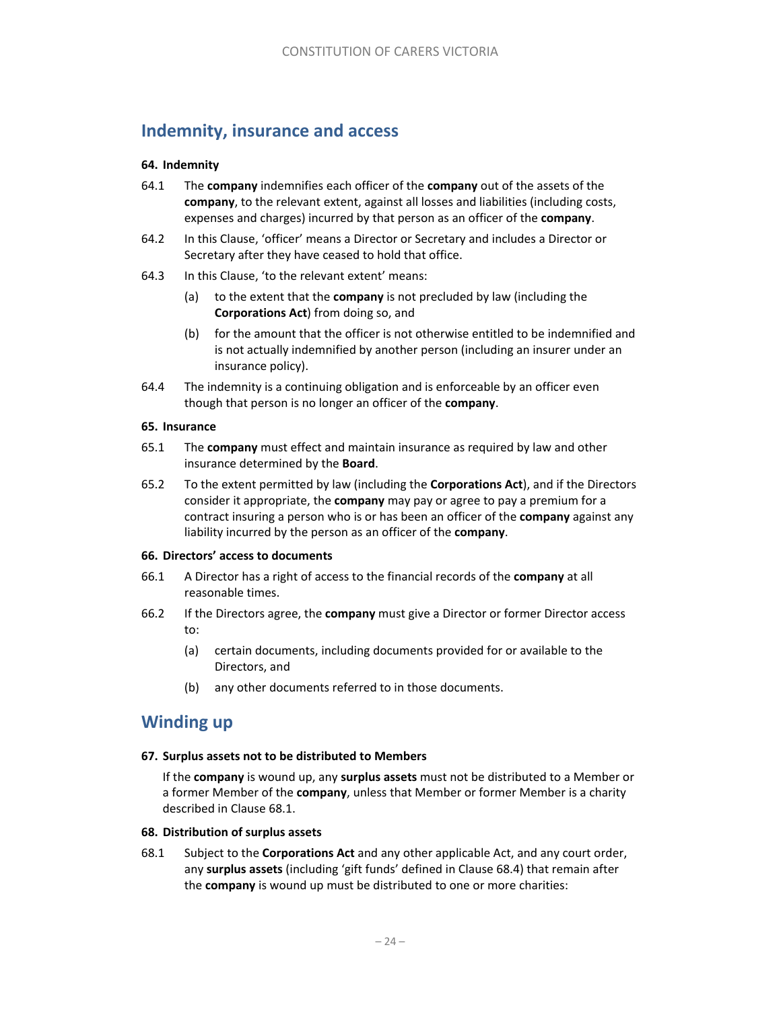# **Indemnity, insurance and access**

### **64. Indemnity**

- 64.1 The **company** indemnifies each officer of the **company** out of the assets of the **company**, to the relevant extent, against all losses and liabilities (including costs, expenses and charges) incurred by that person as an officer of the **company**.
- 64.2 In this Clause, 'officer' means a Director or Secretary and includes a Director or Secretary after they have ceased to hold that office.
- 64.3 In this Clause, 'to the relevant extent' means:
	- (a) to the extent that the **company** is not precluded by law (including the **Corporations Act**) from doing so, and
	- (b) for the amount that the officer is not otherwise entitled to be indemnified and is not actually indemnified by another person (including an insurer under an insurance policy).
- 64.4 The indemnity is a continuing obligation and is enforceable by an officer even though that person is no longer an officer of the **company**.

### **65. Insurance**

- 65.1 The **company** must effect and maintain insurance as required by law and other insurance determined by the **Board**.
- 65.2 To the extent permitted by law (including the **Corporations Act**), and if the Directors consider it appropriate, the **company** may pay or agree to pay a premium for a contract insuring a person who is or has been an officer of the **company** against any liability incurred by the person as an officer of the **company**.

#### **66. Directors' access to documents**

- 66.1 A Director has a right of access to the financial records of the **company** at all reasonable times.
- 66.2 If the Directors agree, the **company** must give a Director or former Director access to:
	- (a) certain documents, including documents provided for or available to the Directors, and
	- (b) any other documents referred to in those documents.

# **Winding up**

#### **67. Surplus assets not to be distributed to Members**

If the **company** is wound up, any **surplus assets** must not be distributed to a Member or a former Member of the **company**, unless that Member or former Member is a charity described in Clause 68.1.

#### **68. Distribution of surplus assets**

68.1 Subject to the **Corporations Act** and any other applicable Act, and any court order, any **surplus assets** (including 'gift funds' defined in Clause 68.4) that remain after the **company** is wound up must be distributed to one or more charities: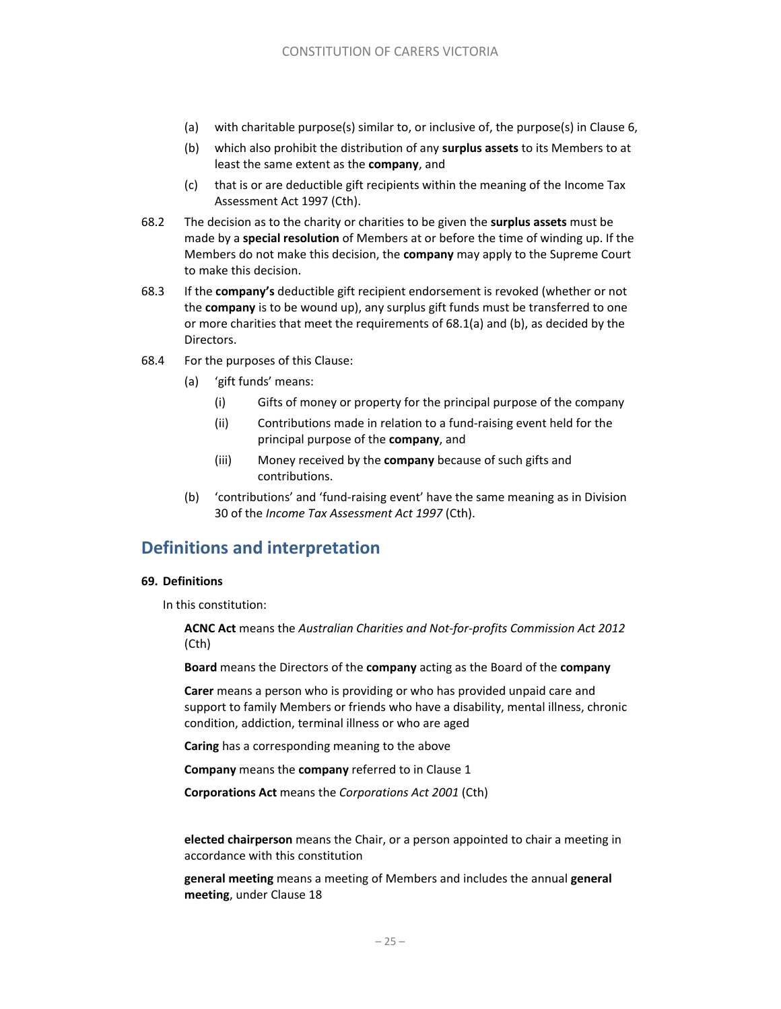- (a) with charitable purpose(s) similar to, or inclusive of, the purpose(s) in Clause 6,
- (b) which also prohibit the distribution of any **surplus assets** to its Members to at least the same extent as the **company**, and
- (c) that is or are deductible gift recipients within the meaning of the Income Tax Assessment Act 1997 (Cth).
- 68.2 The decision as to the charity or charities to be given the **surplus assets** must be made by a **special resolution** of Members at or before the time of winding up. If the Members do not make this decision, the **company** may apply to the Supreme Court to make this decision.
- 68.3 If the **company's** deductible gift recipient endorsement is revoked (whether or not the **company** is to be wound up), any surplus gift funds must be transferred to one or more charities that meet the requirements of 68.1(a) and (b), as decided by the Directors.
- 68.4 For the purposes of this Clause:
	- (a) 'gift funds' means:
		- (i) Gifts of money or property for the principal purpose of the company
		- (ii) Contributions made in relation to a fund‐raising event held for the principal purpose of the **company**, and
		- (iii) Money received by the **company** because of such gifts and contributions.
	- (b) 'contributions' and 'fund‐raising event' have the same meaning as in Division 30 of the *Income Tax Assessment Act 1997* (Cth).

# **Definitions and interpretation**

#### **69. Definitions**

In this constitution:

**ACNC Act** means the *Australian Charities and Not‐for‐profits Commission Act 2012*  (Cth)

**Board** means the Directors of the **company** acting as the Board of the **company**

**Carer** means a person who is providing or who has provided unpaid care and support to family Members or friends who have a disability, mental illness, chronic condition, addiction, terminal illness or who are aged

**Caring** has a corresponding meaning to the above

**Company** means the **company** referred to in Clause 1

**Corporations Act** means the *Corporations Act 2001* (Cth)

**elected chairperson** means the Chair, or a person appointed to chair a meeting in accordance with this constitution

**general meeting** means a meeting of Members and includes the annual **general meeting**, under Clause 18